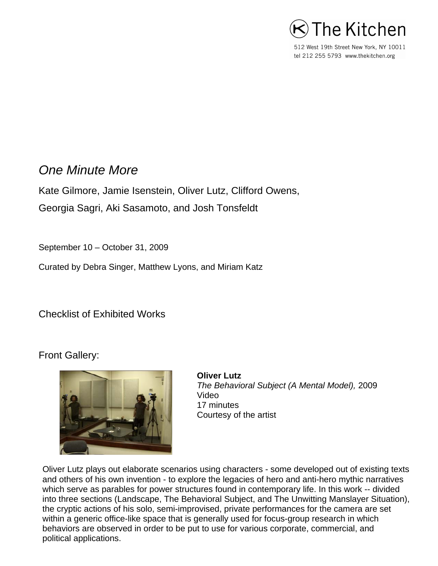

512 West 19th Street New York, NY 10011 tel 212 255 5793 www.thekitchen.org

# *One Minute More*

Kate Gilmore, Jamie Isenstein, Oliver Lutz, Clifford Owens, Georgia Sagri, Aki Sasamoto, and Josh Tonsfeldt

September 10 – October 31, 2009

Curated by Debra Singer, Matthew Lyons, and Miriam Katz

Checklist of Exhibited Works

Front Gallery:



**Oliver Lutz**  *The Behavioral Subject (A Mental Model),* 2009 Video 17 minutes Courtesy of the artist

Oliver Lutz plays out elaborate scenarios using characters - some developed out of existing texts and others of his own invention - to explore the legacies of hero and anti-hero mythic narratives which serve as parables for power structures found in contemporary life. In this work -- divided into three sections (Landscape, The Behavioral Subject, and The Unwitting Manslayer Situation), the cryptic actions of his solo, semi-improvised, private performances for the camera are set within a generic office-like space that is generally used for focus-group research in which behaviors are observed in order to be put to use for various corporate, commercial, and political applications.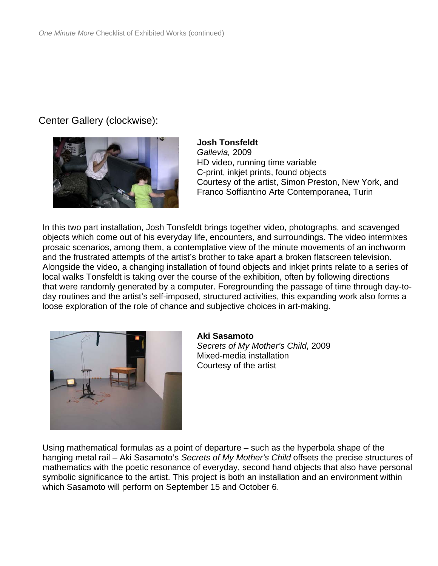# Center Gallery (clockwise):



**Josh Tonsfeldt**  *Gallevia,* 2009 HD video, running time variable C-print, inkjet prints, found objects Courtesy of the artist, Simon Preston, New York, and Franco Soffiantino Arte Contemporanea, Turin

In this two part installation, Josh Tonsfeldt brings together video, photographs, and scavenged objects which come out of his everyday life, encounters, and surroundings. The video intermixes prosaic scenarios, among them, a contemplative view of the minute movements of an inchworm and the frustrated attempts of the artist's brother to take apart a broken flatscreen television. Alongside the video, a changing installation of found objects and inkjet prints relate to a series of local walks Tonsfeldt is taking over the course of the exhibition, often by following directions that were randomly generated by a computer. Foregrounding the passage of time through day-today routines and the artist's self-imposed, structured activities, this expanding work also forms a loose exploration of the role of chance and subjective choices in art-making.



#### **Aki Sasamoto**

*Secrets of My Mother's Child*, 2009 Mixed-media installation Courtesy of the artist

Using mathematical formulas as a point of departure – such as the hyperbola shape of the hanging metal rail – Aki Sasamoto's *Secrets of My Mother's Child* offsets the precise structures of mathematics with the poetic resonance of everyday, second hand objects that also have personal symbolic significance to the artist. This project is both an installation and an environment within which Sasamoto will perform on September 15 and October 6.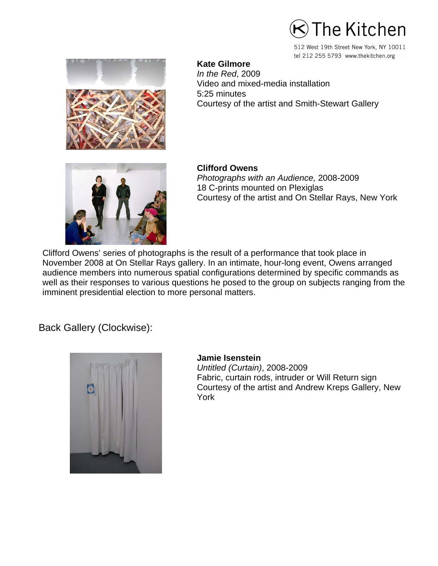

512 West 19th Street New York, NY 10011 tel 212 255 5793 www.thekitchen.org



**Kate Gilmore** 

*In the Red*, 2009 Video and mixed-media installation 5:25 minutes Courtesy of the artist and Smith-Stewart Gallery



## **Clifford Owens**

*Photographs with an Audience,* 2008-2009 18 C-prints mounted on Plexiglas Courtesy of the artist and On Stellar Rays, New York

Clifford Owens' series of photographs is the result of a performance that took place in November 2008 at On Stellar Rays gallery. In an intimate, hour-long event, Owens arranged audience members into numerous spatial configurations determined by specific commands as well as their responses to various questions he posed to the group on subjects ranging from the imminent presidential election to more personal matters.

Back Gallery (Clockwise):



### **Jamie Isenstein**  *Untitled (Curtain)*, 2008-2009 Fabric, curtain rods, intruder or Will Return sign Courtesy of the artist and Andrew Kreps Gallery, New York